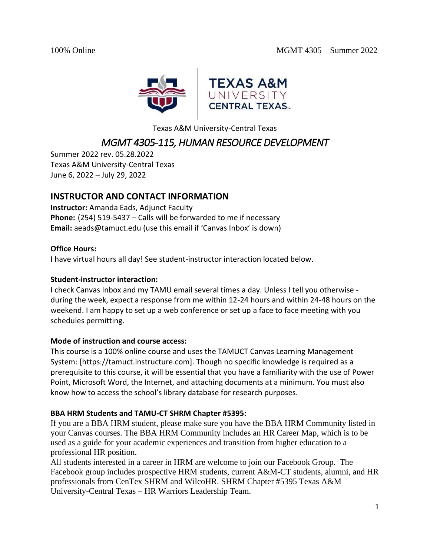

Texas A&M University-Central Texas

# *MGMT 4305-115, HUMAN RESOURCE DEVELOPMENT*

Summer 2022 rev. 05.28.2022 Texas A&M University-Central Texas June 6, 2022 – July 29, 2022

# **INSTRUCTOR AND CONTACT INFORMATION**

**Instructor:** Amanda Eads, Adjunct Faculty **Phone:** (254) 519-5437 – Calls will be forwarded to me if necessary **Email:** aeads@tamuct.edu (use this email if 'Canvas Inbox' is down)

### **Office Hours:**

I have virtual hours all day! See student-instructor interaction located below.

### **Student-instructor interaction:**

I check Canvas Inbox and my TAMU email several times a day. Unless I tell you otherwise during the week, expect a response from me within 12-24 hours and within 24-48 hours on the weekend. I am happy to set up a web conference or set up a face to face meeting with you schedules permitting.

# **Mode of instruction and course access:**

This course is a 100% online course and uses the TAMUCT Canvas Learning Management System: [https://tamuct.instructure.com]. Though no specific knowledge is required as a prerequisite to this course, it will be essential that you have a familiarity with the use of Power Point, Microsoft Word, the Internet, and attaching documents at a minimum. You must also know how to access the school's library database for research purposes.

# **BBA HRM Students and TAMU-CT SHRM Chapter #5395:**

If you are a BBA HRM student, please make sure you have the BBA HRM Community listed in your Canvas courses. The BBA HRM Community includes an HR Career Map, which is to be used as a guide for your academic experiences and transition from higher education to a professional HR position.

All students interested in a career in HRM are welcome to join our Facebook Group. The Facebook group includes prospective HRM students, current A&M-CT students, alumni, and HR professionals from CenTex SHRM and WilcoHR. SHRM Chapter #5395 Texas A&M University-Central Texas – HR Warriors Leadership Team.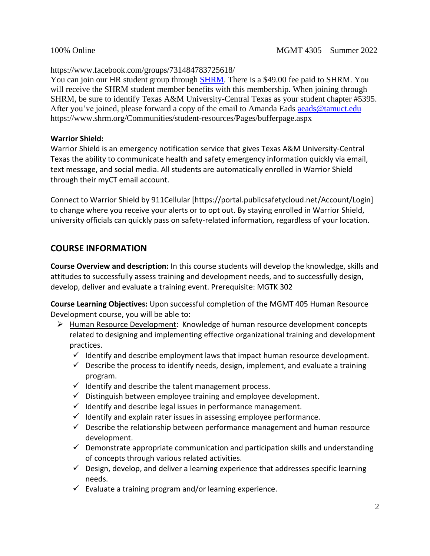https://www.facebook.com/groups/731484783725618/

You can join our HR student group through [SHRM.](https://www.shrm.org/Communities/student-resources/Pages/bufferpage.aspx) There is a \$49.00 fee paid to SHRM. You will receive the SHRM student member benefits with this membership. When joining through SHRM, be sure to identify Texas A&M University-Central Texas as your student chapter #5395. After you've joined, please forward a copy of the email to Amanda Eads [aeads@tamuct.edu](mailto:aeads@tamuct.edu) https://www.shrm.org/Communities/student-resources/Pages/bufferpage.aspx

## **Warrior Shield:**

Warrior Shield is an emergency notification service that gives Texas A&M University-Central Texas the ability to communicate health and safety emergency information quickly via email, text message, and social media. All students are automatically enrolled in Warrior Shield through their myCT email account.

Connect to Warrior Shield by 911Cellular [https://portal.publicsafetycloud.net/Account/Login] to change where you receive your alerts or to opt out. By staying enrolled in Warrior Shield, university officials can quickly pass on safety-related information, regardless of your location.

# **COURSE INFORMATION**

**Course Overview and description:** In this course students will develop the knowledge, skills and attitudes to successfully assess training and development needs, and to successfully design, develop, deliver and evaluate a training event. Prerequisite: MGTK 302

**Course Learning Objectives:** Upon successful completion of the MGMT 405 Human Resource Development course, you will be able to:

- ➢ Human Resource Development: Knowledge of human resource development concepts related to designing and implementing effective organizational training and development practices.
	- $\checkmark$  Identify and describe employment laws that impact human resource development.
	- $\checkmark$  Describe the process to identify needs, design, implement, and evaluate a training program.
	- $\checkmark$  Identify and describe the talent management process.
	- $\checkmark$  Distinguish between employee training and employee development.
	- $\checkmark$  Identify and describe legal issues in performance management.
	- $\checkmark$  Identify and explain rater issues in assessing employee performance.
	- $\checkmark$  Describe the relationship between performance management and human resource development.
	- $\checkmark$  Demonstrate appropriate communication and participation skills and understanding of concepts through various related activities.
	- $\checkmark$  Design, develop, and deliver a learning experience that addresses specific learning needs.
	- $\checkmark$  Evaluate a training program and/or learning experience.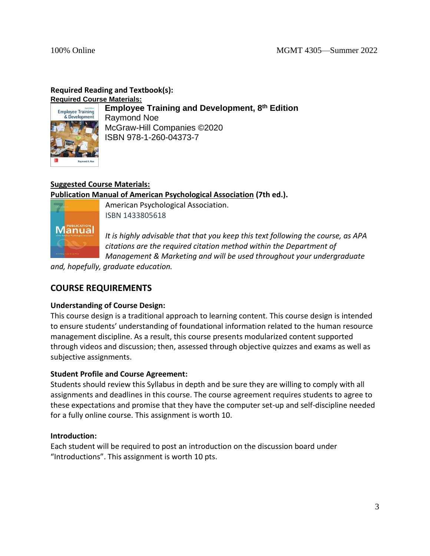# **Required Reading and Textbook(s):**

**Required Course Materials:**



**Employee Training and Development, 8 th Edition** Raymond Noe McGraw-Hill Companies ©2020 ISBN 978-1-260-04373-7

# **Suggested Course Materials:**

**Publication Manual of American Psychological Association (7th ed.).** 



American Psychological Association. ISBN 1433805618

*It is highly advisable that that you keep this text following the course, as APA citations are the required citation method within the Department of Management & Marketing and will be used throughout your undergraduate* 

*and, hopefully, graduate education.*

# **COURSE REQUIREMENTS**

# **Understanding of Course Design:**

This course design is a traditional approach to learning content. This course design is intended to ensure students' understanding of foundational information related to the human resource management discipline. As a result, this course presents modularized content supported through videos and discussion; then, assessed through objective quizzes and exams as well as subjective assignments.

# **Student Profile and Course Agreement:**

Students should review this Syllabus in depth and be sure they are willing to comply with all assignments and deadlines in this course. The course agreement requires students to agree to these expectations and promise that they have the computer set-up and self-discipline needed for a fully online course. This assignment is worth 10.

# **Introduction:**

Each student will be required to post an introduction on the discussion board under "Introductions". This assignment is worth 10 pts.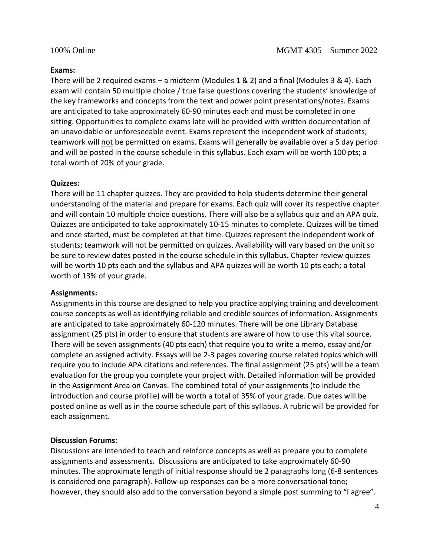#### **Exams:**

There will be 2 required exams – a midterm (Modules 1 & 2) and a final (Modules 3 & 4). Each exam will contain 50 multiple choice / true false questions covering the students' knowledge of the key frameworks and concepts from the text and power point presentations/notes. Exams are anticipated to take approximately 60-90 minutes each and must be completed in one sitting. Opportunities to complete exams late will be provided with written documentation of an unavoidable or unforeseeable event. Exams represent the independent work of students; teamwork will not be permitted on exams. Exams will generally be available over a 5 day period and will be posted in the course schedule in this syllabus. Each exam will be worth 100 pts; a total worth of 20% of your grade.

#### **Quizzes:**

There will be 11 chapter quizzes. They are provided to help students determine their general understanding of the material and prepare for exams. Each quiz will cover its respective chapter and will contain 10 multiple choice questions. There will also be a syllabus quiz and an APA quiz. Quizzes are anticipated to take approximately 10-15 minutes to complete. Quizzes will be timed and once started, must be completed at that time. Quizzes represent the independent work of students; teamwork will not be permitted on quizzes. Availability will vary based on the unit so be sure to review dates posted in the course schedule in this syllabus. Chapter review quizzes will be worth 10 pts each and the syllabus and APA quizzes will be worth 10 pts each; a total worth of 13% of your grade.

#### **Assignments:**

Assignments in this course are designed to help you practice applying training and development course concepts as well as identifying reliable and credible sources of information. Assignments are anticipated to take approximately 60-120 minutes. There will be one Library Database assignment (25 pts) in order to ensure that students are aware of how to use this vital source. There will be seven assignments (40 pts each) that require you to write a memo, essay and/or complete an assigned activity. Essays will be 2-3 pages covering course related topics which will require you to include APA citations and references. The final assignment (25 pts) will be a team evaluation for the group you complete your project with. Detailed information will be provided in the Assignment Area on Canvas. The combined total of your assignments (to include the introduction and course profile) will be worth a total of 35% of your grade. Due dates will be posted online as well as in the course schedule part of this syllabus. A rubric will be provided for each assignment.

### **Discussion Forums:**

Discussions are intended to teach and reinforce concepts as well as prepare you to complete assignments and assessments. Discussions are anticipated to take approximately 60-90 minutes. The approximate length of initial response should be 2 paragraphs long (6-8 sentences is considered one paragraph). Follow-up responses can be a more conversational tone; however, they should also add to the conversation beyond a simple post summing to "I agree".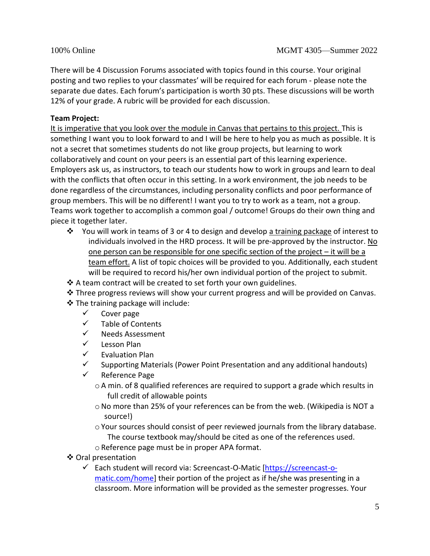There will be 4 Discussion Forums associated with topics found in this course. Your original posting and two replies to your classmates' will be required for each forum - please note the separate due dates. Each forum's participation is worth 30 pts. These discussions will be worth 12% of your grade. A rubric will be provided for each discussion.

# **Team Project:**

It is imperative that you look over the module in Canvas that pertains to this project. This is something I want you to look forward to and I will be here to help you as much as possible. It is not a secret that sometimes students do not like group projects, but learning to work collaboratively and count on your peers is an essential part of this learning experience. Employers ask us, as instructors, to teach our students how to work in groups and learn to deal with the conflicts that often occur in this setting. In a work environment, the job needs to be done regardless of the circumstances, including personality conflicts and poor performance of group members. This will be no different! I want you to try to work as a team, not a group. Teams work together to accomplish a common goal / outcome! Groups do their own thing and piece it together later.

- ❖ You will work in teams of 3 or 4 to design and develop a training package of interest to individuals involved in the HRD process. It will be pre-approved by the instructor. No one person can be responsible for one specific section of the project – it will be a team effort. A list of topic choices will be provided to you. Additionally, each student will be required to record his/her own individual portion of the project to submit.
- ❖ A team contract will be created to set forth your own guidelines.
- ❖ Three progress reviews will show your current progress and will be provided on Canvas.
- ❖ The training package will include:
	- $\checkmark$  Cover page
	- ✓ Table of Contents
	- ✓ Needs Assessment
	- ✓ Lesson Plan
	- ✓ Evaluation Plan
	- $\checkmark$  Supporting Materials (Power Point Presentation and any additional handouts)
	- ✓ Reference Page
		- oA min. of 8 qualified references are required to support a grade which results in full credit of allowable points
		- o No more than 25% of your references can be from the web. (Wikipedia is NOT a source!)
		- $\circ$  Your sources should consist of peer reviewed journals from the library database. The course textbook may/should be cited as one of the references used.
		- oReference page must be in proper APA format.
- ❖ Oral presentation
	- ✓ Each student will record via: Screencast-O-Matic [\[https://screencast-o](https://screencast-o-matic.com/home)[matic.com/home\]](https://screencast-o-matic.com/home) their portion of the project as if he/she was presenting in a classroom. More information will be provided as the semester progresses. Your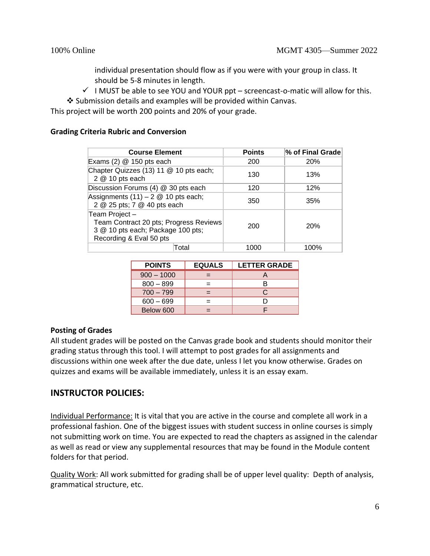individual presentation should flow as if you were with your group in class. It should be 5-8 minutes in length.

 $\checkmark$  I MUST be able to see YOU and YOUR ppt – screencast-o-matic will allow for this.

❖ Submission details and examples will be provided within Canvas.

This project will be worth 200 points and 20% of your grade.

### **Grading Criteria Rubric and Conversion**

| <b>Course Element</b>                                                                                                   | <b>Points</b> | % of Final Grade |
|-------------------------------------------------------------------------------------------------------------------------|---------------|------------------|
| Exams $(2)$ @ 150 pts each                                                                                              | 200           | <b>20%</b>       |
| Chapter Quizzes (13) 11 @ 10 pts each;<br>2 @ 10 pts each                                                               | 130           | 13%              |
| Discussion Forums (4) @ 30 pts each                                                                                     | 120           | 12%              |
| Assignments $(11) - 2 \& 10$ pts each;<br>2 @ 25 pts; 7 @ 40 pts each                                                   | 350           | 35%              |
| Team Project-<br>Team Contract 20 pts; Progress Reviews<br>3 @ 10 pts each; Package 100 pts;<br>Recording & Eval 50 pts | 200           | 20%              |
| Total                                                                                                                   | 1000          | 100%             |

| <b>POINTS</b> | <b>EQUALS</b> | <b>LETTER GRADE</b> |
|---------------|---------------|---------------------|
| $900 - 1000$  |               |                     |
| $800 - 899$   |               |                     |
| $700 - 799$   |               | C                   |
| $600 - 699$   |               |                     |
| Below 600     |               |                     |

### **Posting of Grades**

All student grades will be posted on the Canvas grade book and students should monitor their grading status through this tool. I will attempt to post grades for all assignments and discussions within one week after the due date, unless I let you know otherwise. Grades on quizzes and exams will be available immediately, unless it is an essay exam.

# **INSTRUCTOR POLICIES:**

Individual Performance: It is vital that you are active in the course and complete all work in a professional fashion. One of the biggest issues with student success in online courses is simply not submitting work on time. You are expected to read the chapters as assigned in the calendar as well as read or view any supplemental resources that may be found in the Module content folders for that period.

Quality Work: All work submitted for grading shall be of upper level quality: Depth of analysis, grammatical structure, etc.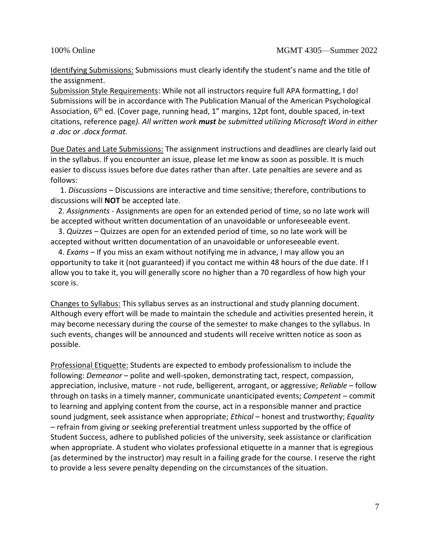Identifying Submissions: Submissions must clearly identify the student's name and the title of the assignment.

Submission Style Requirements: While not all instructors require full APA formatting, I do! Submissions will be in accordance with The Publication Manual of the American Psychological Association, 6<sup>th</sup> ed. (Cover page, running head, 1" margins, 12pt font, double spaced, in-text citations, reference page*). All written work must be submitted utilizing Microsoft Word in either a .doc or .docx format.* 

Due Dates and Late Submissions: The assignment instructions and deadlines are clearly laid out in the syllabus. If you encounter an issue, please let me know as soon as possible. It is much easier to discuss issues before due dates rather than after. Late penalties are severe and as follows:

 1. *Discussions* – Discussions are interactive and time sensitive; therefore, contributions to discussions will **NOT** be accepted late.

 2. *Assignments -* Assignments are open for an extended period of time, so no late work will be accepted without written documentation of an unavoidable or unforeseeable event.

 3. *Quizzes* – Quizzes are open for an extended period of time, so no late work will be accepted without written documentation of an unavoidable or unforeseeable event.

 4. *Exams* – If you miss an exam without notifying me in advance, I may allow you an opportunity to take it (not guaranteed) if you contact me within 48 hours of the due date. If I allow you to take it, you will generally score no higher than a 70 regardless of how high your score is.

Changes to Syllabus: This syllabus serves as an instructional and study planning document. Although every effort will be made to maintain the schedule and activities presented herein, it may become necessary during the course of the semester to make changes to the syllabus. In such events, changes will be announced and students will receive written notice as soon as possible.

Professional Etiquette: Students are expected to embody professionalism to include the following: *Demeanor* – polite and well-spoken, demonstrating tact, respect, compassion, appreciation, inclusive, mature - not rude, belligerent, arrogant, or aggressive; *Reliable* – follow through on tasks in a timely manner, communicate unanticipated events; *Competent* – commit to learning and applying content from the course, act in a responsible manner and practice sound judgment, seek assistance when appropriate; *Ethical* – honest and trustworthy; *Equality*  – refrain from giving or seeking preferential treatment unless supported by the office of Student Success, adhere to published policies of the university, seek assistance or clarification when appropriate. A student who violates professional etiquette in a manner that is egregious (as determined by the instructor) may result in a failing grade for the course. I reserve the right to provide a less severe penalty depending on the circumstances of the situation.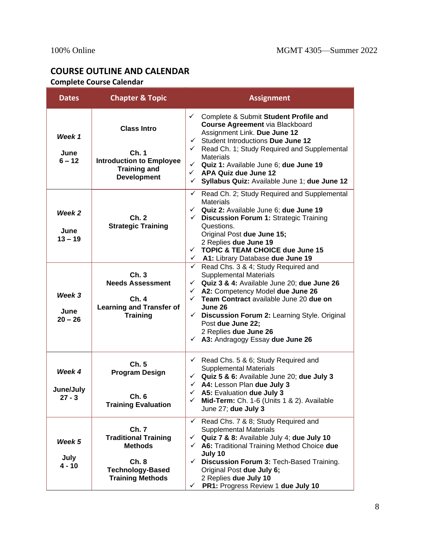# **COURSE OUTLINE AND CALENDAR Complete Course Calendar**

| <b>Dates</b>                    | <b>Chapter &amp; Topic</b>                                                                                           | <b>Assignment</b>                                                                                                                                                                                                                                                                                                                                                                                                           |
|---------------------------------|----------------------------------------------------------------------------------------------------------------------|-----------------------------------------------------------------------------------------------------------------------------------------------------------------------------------------------------------------------------------------------------------------------------------------------------------------------------------------------------------------------------------------------------------------------------|
| Week 1<br>June<br>$6 - 12$      | <b>Class Intro</b><br>Ch.1<br><b>Introduction to Employee</b><br><b>Training and</b><br><b>Development</b>           | ← Complete & Submit Student Profile and<br><b>Course Agreement via Blackboard</b><br>Assignment Link. Due June 12<br>Student Introductions Due June 12<br>$\checkmark$<br>$\checkmark$<br>Read Ch. 1; Study Required and Supplemental<br><b>Materials</b><br>Quiz 1: Available June 6; due June 19<br>$\checkmark$<br>APA Quiz due June 12<br>$\checkmark$<br>Syllabus Quiz: Available June 1; due June 12<br>$\checkmark$  |
| Week 2<br>June<br>$13 - 19$     | Ch.2<br><b>Strategic Training</b>                                                                                    | Read Ch. 2; Study Required and Supplemental<br>✓<br><b>Materials</b><br>$\checkmark$ Quiz 2: Available June 6; due June 19<br>Discussion Forum 1: Strategic Training<br>$\checkmark$<br>Questions.<br>Original Post due June 15;<br>2 Replies due June 19<br>$\checkmark$ TOPIC & TEAM CHOICE due June 15<br>← A1: Library Database due June 19                                                                             |
| Week 3<br>June<br>$20 - 26$     | Ch.3<br><b>Needs Assessment</b><br>Ch. 4<br><b>Learning and Transfer of</b><br><b>Training</b>                       | Read Chs. 3 & 4; Study Required and<br>$\checkmark$<br><b>Supplemental Materials</b><br>$\checkmark$ Quiz 3 & 4: Available June 20; due June 26<br>A2: Competency Model due June 26<br>$\checkmark$<br>Team Contract available June 20 due on<br>$\checkmark$<br>June 26<br>Discussion Forum 2: Learning Style. Original<br>$\checkmark$<br>Post due June 22;<br>2 Replies due June 26<br>← A3: Andragogy Essay due June 26 |
| Week 4<br>June/July<br>$27 - 3$ | Ch.5<br><b>Program Design</b><br>Ch.6<br><b>Training Evaluation</b>                                                  | $\checkmark$ Read Chs. 5 & 6; Study Required and<br><b>Supplemental Materials</b><br>$\checkmark$ Quiz 5 & 6: Available June 20; due July 3<br>$\checkmark$ A4: Lesson Plan due July 3<br>$\checkmark$ A5: Evaluation due July 3<br>Mid-Term: Ch. 1-6 (Units 1 & 2). Available<br>$\checkmark$<br>June 27; due July 3                                                                                                       |
| Week 5<br>July<br>4 - 10        | Ch. 7<br><b>Traditional Training</b><br><b>Methods</b><br>Ch.8<br><b>Technology-Based</b><br><b>Training Methods</b> | Read Chs. 7 & 8; Study Required and<br>✓<br><b>Supplemental Materials</b><br>Quiz 7 & 8: Available July 4; due July 10<br>$\checkmark$<br>← A6: Traditional Training Method Choice due<br>July 10<br>Discussion Forum 3: Tech-Based Training.<br>$\checkmark$<br>Original Post due July 6;<br>2 Replies due July 10<br>PR1: Progress Review 1 due July 10<br>✓                                                              |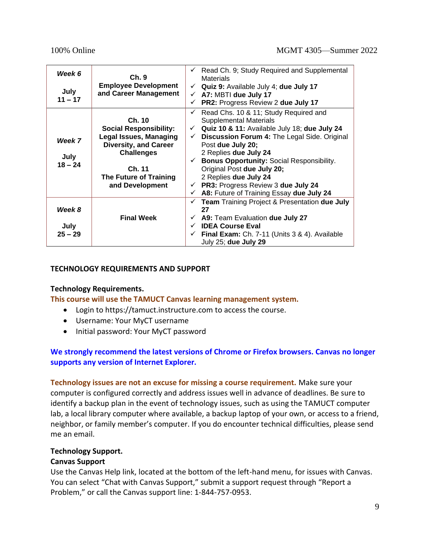| Week 6                      | Ch.9                                                                                                                                                                          |                              | $\checkmark$ Read Ch. 9; Study Required and Supplemental<br><b>Materials</b>                                                                                                                                                                                                                                                                                                                                                           |
|-----------------------------|-------------------------------------------------------------------------------------------------------------------------------------------------------------------------------|------------------------------|----------------------------------------------------------------------------------------------------------------------------------------------------------------------------------------------------------------------------------------------------------------------------------------------------------------------------------------------------------------------------------------------------------------------------------------|
| July<br>$11 - 17$           | <b>Employee Development</b><br>and Career Management                                                                                                                          | ✓                            | $\checkmark$ Quiz 9: Available July 4; due July 17<br>$\checkmark$ A7: MBTI due July 17<br>PR2: Progress Review 2 due July 17                                                                                                                                                                                                                                                                                                          |
| Week 7<br>July<br>$18 - 24$ | Ch. 10<br><b>Social Responsibility:</b><br>Legal Issues, Managing<br><b>Diversity, and Career</b><br><b>Challenges</b><br>Ch. 11<br>The Future of Training<br>and Development | $\checkmark$<br>$\checkmark$ | Read Chs. 10 & 11; Study Required and<br><b>Supplemental Materials</b><br>$\checkmark$ Quiz 10 & 11: Available July 18; due July 24<br>Discussion Forum 4: The Legal Side. Original<br>Post due July 20;<br>2 Replies due July 24<br>← Bonus Opportunity: Social Responsibility.<br>Original Post due July 20;<br>2 Replies due July 24<br>$\checkmark$ PR3: Progress Review 3 due July 24<br>A8: Future of Training Essay due July 24 |
| Week 8<br>July<br>$25 - 29$ | <b>Final Week</b>                                                                                                                                                             | ✓<br>$\checkmark$            | <b>Team Training Project &amp; Presentation due July</b><br>27<br>$\checkmark$ A9: Team Evaluation due July 27<br><b>IDEA Course Eval</b><br>$\checkmark$ Final Exam: Ch. 7-11 (Units 3 & 4). Available<br>July 25; due July 29                                                                                                                                                                                                        |

### **TECHNOLOGY REQUIREMENTS AND SUPPORT**

### **Technology Requirements.**

**This course will use the TAMUCT Canvas learning management system.**

- Login to https://tamuct.instructure.com to access the course.
- Username: Your MyCT username
- Initial password: Your MyCT password

### **We strongly recommend the latest versions of Chrome or Firefox browsers. Canvas no longer supports any version of Internet Explorer.**

**Technology issues are not an excuse for missing a course requirement.** Make sure your computer is configured correctly and address issues well in advance of deadlines. Be sure to identify a backup plan in the event of technology issues, such as using the TAMUCT computer lab, a local library computer where available, a backup laptop of your own, or access to a friend, neighbor, or family member's computer. If you do encounter technical difficulties, please send me an email.

### **Technology Support.**

#### **Canvas Support**

Use the Canvas Help link, located at the bottom of the left-hand menu, for issues with Canvas. You can select "Chat with Canvas Support," submit a support request through "Report a Problem," or call the Canvas support line: 1-844-757-0953.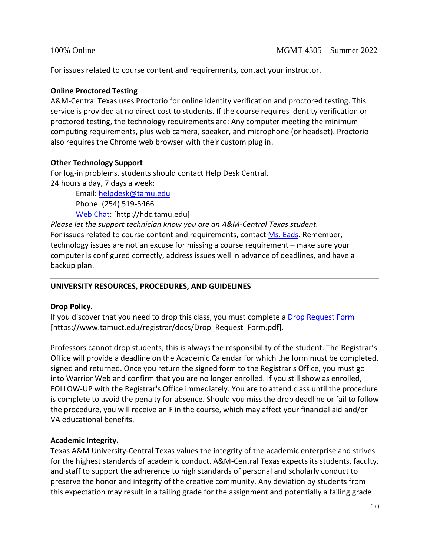For issues related to course content and requirements, contact your instructor.

### **Online Proctored Testing**

A&M-Central Texas uses Proctorio for online identity verification and proctored testing. This service is provided at no direct cost to students. If the course requires identity verification or proctored testing, the technology requirements are: Any computer meeting the minimum computing requirements, plus web camera, speaker, and microphone (or headset). Proctorio also requires the Chrome web browser with their custom plug in.

### **Other Technology Support**

For log-in problems, students should contact Help Desk Central. 24 hours a day, 7 days a week:

> Email: [helpdesk@tamu.edu](mailto:helpdesk@tamu.edu) Phone: (254) 519-5466 [Web Chat:](http://hdc.tamu.edu/) [http://hdc.tamu.edu]

*Please let the support technician know you are an A&M-Central Texas student.* For issues related to course content and requirements, contac[t Ms.](mailto:becca.mcpherson@tamuct.edu) Eads. Remember, technology issues are not an excuse for missing a course requirement – make sure your computer is configured correctly, address issues well in advance of deadlines, and have a backup plan.

# **UNIVERSITY RESOURCES, PROCEDURES, AND GUIDELINES**

# **Drop Policy.**

If you discover that you need to drop this class, you must complete a [Drop Request](https://www.tamuct.edu/registrar/docs/Drop_Request_Form.pdf) Form [https://www.tamuct.edu/registrar/docs/Drop\_Request\_Form.pdf].

Professors cannot drop students; this is always the responsibility of the student. The Registrar's Office will provide a deadline on the Academic Calendar for which the form must be completed, signed and returned. Once you return the signed form to the Registrar's Office, you must go into Warrior Web and confirm that you are no longer enrolled. If you still show as enrolled, FOLLOW-UP with the Registrar's Office immediately. You are to attend class until the procedure is complete to avoid the penalty for absence. Should you miss the drop deadline or fail to follow the procedure, you will receive an F in the course, which may affect your financial aid and/or VA educational benefits.

# **Academic Integrity.**

Texas A&M University-Central Texas values the integrity of the academic enterprise and strives for the highest standards of academic conduct. A&M-Central Texas expects its students, faculty, and staff to support the adherence to high standards of personal and scholarly conduct to preserve the honor and integrity of the creative community. Any deviation by students from this expectation may result in a failing grade for the assignment and potentially a failing grade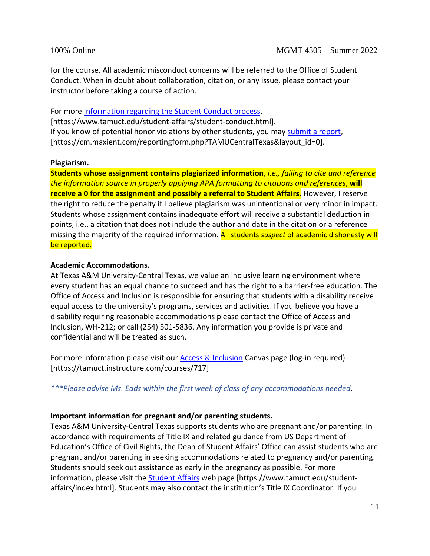for the course. All academic misconduct concerns will be referred to the Office of Student Conduct. When in doubt about collaboration, citation, or any issue, please contact your instructor before taking a course of action.

For more [information regarding the Student Conduct process,](https://www.tamuct.edu/student-affairs/student-conduct.html) [https://www.tamuct.edu/student-affairs/student-conduct.html]. If you know of potential honor violations by other students, you may [submit a report,](https://cm.maxient.com/reportingform.php?TAMUCentralTexas&layout_id=0) [https://cm.maxient.com/reportingform.php?TAMUCentralTexas&layout\_id=0].

### **Plagiarism.**

**Students whose assignment contains plagiarized information**, *i.e., failing to cite and reference the information source in properly applying APA formatting to citations and references*, **will receive a 0 for the assignment and possibly a referral to Student Affairs**. However, I reserve the right to reduce the penalty if I believe plagiarism was unintentional or very minor in impact. Students whose assignment contains inadequate effort will receive a substantial deduction in points, i.e., a citation that does not include the author and date in the citation or a reference missing the majority of the required information. All students *suspect* of academic dishonesty will be reported.

### **Academic Accommodations.**

At Texas A&M University-Central Texas, we value an inclusive learning environment where every student has an equal chance to succeed and has the right to a barrier-free education. The Office of Access and Inclusion is responsible for ensuring that students with a disability receive equal access to the university's programs, services and activities. If you believe you have a disability requiring reasonable accommodations please contact the Office of Access and Inclusion, WH-212; or call (254) 501-5836. Any information you provide is private and confidential and will be treated as such.

For more information please visit our **Access & Inclusion** Canvas page (log-in required) [https://tamuct.instructure.com/courses/717]

*\*\*\*Please advise Ms. Eads within the first week of class of any accommodations needed***.**

### **Important information for pregnant and/or parenting students.**

Texas A&M University-Central Texas supports students who are pregnant and/or parenting. In accordance with requirements of Title IX and related guidance from US Department of Education's Office of Civil Rights, the Dean of Student Affairs' Office can assist students who are pregnant and/or parenting in seeking accommodations related to pregnancy and/or parenting. Students should seek out assistance as early in the pregnancy as possible. For more information, please visit the [Student Affairs](https://www.tamuct.edu/student-affairs/index.html) web page [https://www.tamuct.edu/studentaffairs/index.html]. Students may also contact the institution's Title IX Coordinator. If you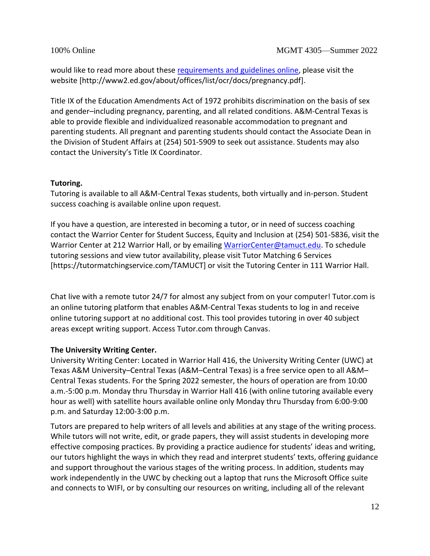would like to read more about these [requirements and guidelines](http://www2.ed.gov/about/offices/list/ocr/docs/pregnancy.pdf) online, please visit the website [http://www2.ed.gov/about/offices/list/ocr/docs/pregnancy.pdf].

Title IX of the Education Amendments Act of 1972 prohibits discrimination on the basis of sex and gender–including pregnancy, parenting, and all related conditions. A&M-Central Texas is able to provide flexible and individualized reasonable accommodation to pregnant and parenting students. All pregnant and parenting students should contact the Associate Dean in the Division of Student Affairs at (254) 501-5909 to seek out assistance. Students may also contact the University's Title IX Coordinator.

### **Tutoring.**

Tutoring is available to all A&M-Central Texas students, both virtually and in-person. Student success coaching is available online upon request.

If you have a question, are interested in becoming a tutor, or in need of success coaching contact the Warrior Center for Student Success, Equity and Inclusion at (254) 501-5836, visit the Warrior Center at 212 Warrior Hall, or by emailing [WarriorCenter@tamuct.edu.](mailto:WarriorCenter@tamuct.edu) To schedule tutoring sessions and view tutor availability, please visit Tutor Matching 6 Services [https://tutormatchingservice.com/TAMUCT] or visit the Tutoring Center in 111 Warrior Hall.

Chat live with a remote tutor 24/7 for almost any subject from on your computer! Tutor.com is an online tutoring platform that enables A&M-Central Texas students to log in and receive online tutoring support at no additional cost. This tool provides tutoring in over 40 subject areas except writing support. Access Tutor.com through Canvas.

# **The University Writing Center.**

University Writing Center: Located in Warrior Hall 416, the University Writing Center (UWC) at Texas A&M University–Central Texas (A&M–Central Texas) is a free service open to all A&M– Central Texas students. For the Spring 2022 semester, the hours of operation are from 10:00 a.m.-5:00 p.m. Monday thru Thursday in Warrior Hall 416 (with online tutoring available every hour as well) with satellite hours available online only Monday thru Thursday from 6:00-9:00 p.m. and Saturday 12:00-3:00 p.m.

Tutors are prepared to help writers of all levels and abilities at any stage of the writing process. While tutors will not write, edit, or grade papers, they will assist students in developing more effective composing practices. By providing a practice audience for students' ideas and writing, our tutors highlight the ways in which they read and interpret students' texts, offering guidance and support throughout the various stages of the writing process. In addition, students may work independently in the UWC by checking out a laptop that runs the Microsoft Office suite and connects to WIFI, or by consulting our resources on writing, including all of the relevant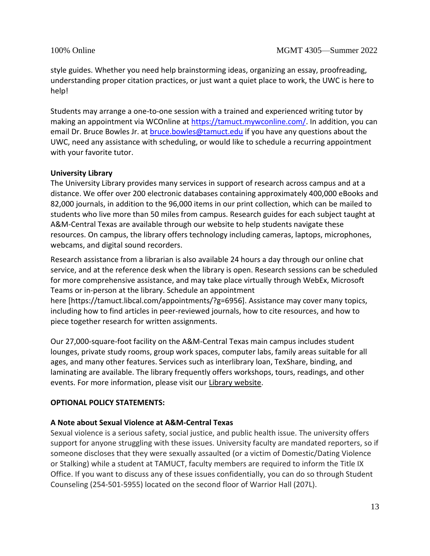style guides. Whether you need help brainstorming ideas, organizing an essay, proofreading, understanding proper citation practices, or just want a quiet place to work, the UWC is here to help!

Students may arrange a one-to-one session with a trained and experienced writing tutor by making an appointment via WCOnline at [https://tamuct.mywconline.com/.](https://tamuct.mywconline.com/) In addition, you can email Dr. Bruce Bowles Jr. at [bruce.bowles@tamuct.edu](mailto:bruce.bowles@tamuct.edu) if you have any questions about the UWC, need any assistance with scheduling, or would like to schedule a recurring appointment with your favorite tutor.

### **University Library**

The University Library provides many services in support of research across campus and at a distance. We offer over 200 electronic databases containing approximately 400,000 eBooks and 82,000 journals, in addition to the 96,000 items in our print collection, which can be mailed to students who live more than 50 miles from campus. Research guides for each subject taught at A&M-Central Texas are available through our website to help students navigate these resources. On campus, the library offers technology including cameras, laptops, microphones, webcams, and digital sound recorders.

Research assistance from a librarian is also available 24 hours a day through our online chat service, and at the reference desk when the library is open. Research sessions can be scheduled for more comprehensive assistance, and may take place virtually through WebEx, Microsoft Teams or in-person at the library. Schedule an appointment here [https://tamuct.libcal.com/appointments/?g=6956]. Assistance may cover many topics, including how to find articles in peer-reviewed journals, how to cite resources, and how to piece together research for written assignments.

Our 27,000-square-foot facility on the A&M-Central Texas main campus includes student lounges, private study rooms, group work spaces, computer labs, family areas suitable for all ages, and many other features. Services such as interlibrary loan, TexShare, binding, and laminating are available. The library frequently offers workshops, tours, readings, and other events. For more information, please visit our [Library website.](http://tamuct.libguides.com/index)

### **OPTIONAL POLICY STATEMENTS:**

### **A Note about Sexual Violence at A&M-Central Texas**

Sexual violence is a serious safety, social justice, and public health issue. The university offers support for anyone struggling with these issues. University faculty are mandated reporters, so if someone discloses that they were sexually assaulted (or a victim of Domestic/Dating Violence or Stalking) while a student at TAMUCT, faculty members are required to inform the Title IX Office. If you want to discuss any of these issues confidentially, you can do so through Student Counseling (254-501-5955) located on the second floor of Warrior Hall (207L).